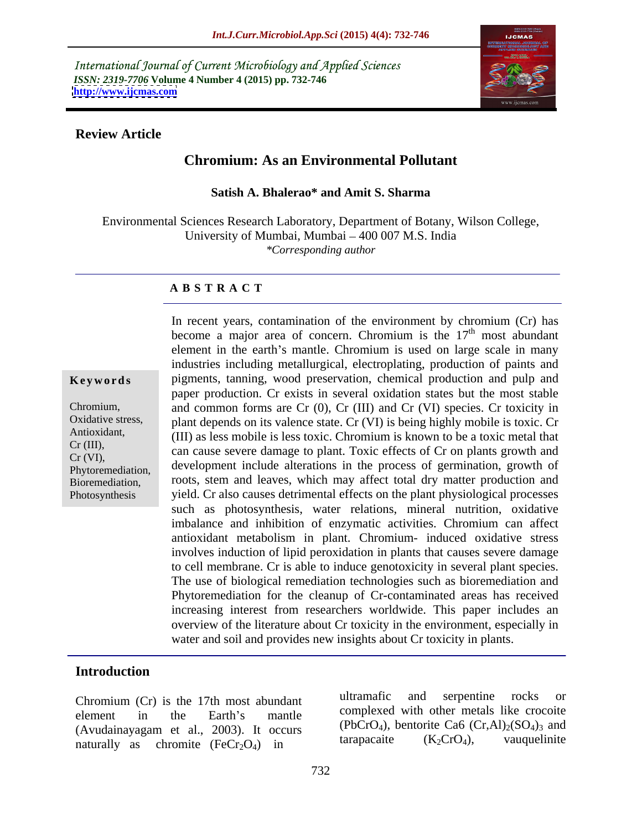International Journal of Current Microbiology and Applied Sciences *ISSN: 2319-7706* **Volume 4 Number 4 (2015) pp. 732-746 <http://www.ijcmas.com>**



### **Review Article**

# **Chromium: As an Environmental Pollutant**

**Satish A. Bhalerao\* and Amit S. Sharma**

Environmental Sciences Research Laboratory, Department of Botany, Wilson College, University of Mumbai, Mumbai - 400 007 M.S. India *\*Corresponding author*

### **A B S T R A C T**

Photosynthesis

In recent years, contamination of the environment by chromium (Cr) has become a major area of concern. Chromium is the  $17<sup>th</sup>$  most abundant <sup>th</sup> most abundant element in the earth's mantle. Chromium is used on large scale in many industries including metallurgical, electroplating, production of paints and **Keywords** pigments, tanning, wood preservation, chemical production and pulp and paper production. Cr exists in several oxidation states but the most stable and common forms are Cr (0), Cr (III) and Cr (VI) species. Cr toxicity in Chromium, Oxidative stress, <br>plant depends on its valence state. Cr (VI) is being highly mobile is toxic. Cr Antioxidant, (III) as less mobile is less toxic. Chromium is known to be a toxic metal that  $\text{Cr (III)},$  can cause severe damage to plant. Toxic effects of Cr on plants growth and  $\text{Cr (III)}$ , development include alterations in the process of germination, growth of Cr (VI), Phytoremediation, and the meridian and leaves, which may affect total dry matter production and process of germination, and contain and leaves, which may affect total dry matter production and yield. Cr also causes detrimental effects on the plant physiological processes such as photosynthesis, water relations, mineral nutrition, oxidative imbalance and inhibition of enzymatic activities. Chromium can affect antioxidant metabolism in plant. Chromium- induced oxidative stress involves induction of lipid peroxidation in plants that causes severe damage to cell membrane.Cr is able to induce genotoxicity in several plant species. The use of biological remediation technologies such as bioremediation and Phytoremediation for the cleanup of Cr-contaminated areas has received increasing interest from researchers worldwide. This paper includes an overview of the literature about Cr toxicity in the environment, especially in water and soil and provides new insights about Cr toxicity in plants.

### **Introduction**

element in the Earth's mantle complexed with other metals like crocotic (Avudainayagam et al., 2003). It occurs (PbCrO<sub>4</sub>), bentorite Ca6 (Cr,AI)<sub>2</sub>(SO<sub>4</sub>)<sub>3</sub> and<br>tarapacaite (K<sub>2</sub>CrO<sub>4</sub>), vauquelinite naturally as chromite  $(FeCr_2O_4)$  in

Chromium (Cr) is the 17th most abundant ultramafic and serpentine rocks or ultramafic and serpentine rocks or complexed with other metals like crocoite (PbCrO<sub>4</sub>), bentorite Ca6  $(Cr, Al)<sub>2</sub>(SO<sub>4</sub>)<sub>3</sub>$  and tarapacaite  $(K_2CrO_4)$ , vauquelinite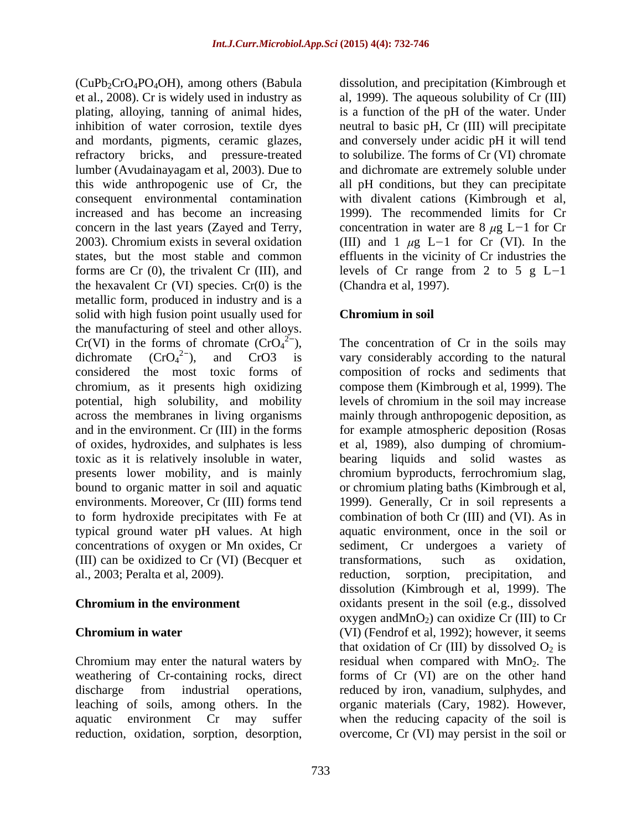(CuPb2CrO4PO4OH), among others (Babula dissolution, and precipitation (Kimbrough et et al., 2008). Cr is widely used in industry as plating, alloying, tanning of animal hides, is a function of the pH of the water. Under inhibition of water corrosion, textile dyes neutral to basic pH, Cr (III) will precipitate and mordants, pigments, ceramic glazes, and conversely under acidic pH it will tend refractory bricks, and pressure-treated to solubilize. The forms of Cr (VI) chromate lumber (Avudainayagam et al, 2003). Due to and dichromate are extremely soluble under this wide anthropogenic use of Cr, the all pH conditions, but they can precipitate consequent environmental contamination increased and has become an increasing concern in the last years (Zayed and Terry, concentration in water are  $8 \mu g L-1$  for Cr 2003). Chromium exists in several oxidation (III) and 1  $\mu$ g L-1 for Cr (VI). In the states, but the most stable and common effluents in the vicinity of Cr industries the forms are Cr  $(0)$ , the trivalent Cr  $(III)$ , and levels of Cr range from 2 to 5 g L-1 the hexavalent  $Cr$  (VI) species.  $Cr(0)$  is the metallic form, produced in industry and is a solid with high fusion point usually used for the manufacturing of steel and other alloys. Cr(VI) in the forms of chromate  $(CrO_4^2)$ ,<br>dichromate  $(CrO_4^2)$ , and CrO3 is dichromate  $(CrO<sub>4</sub><sup>2</sup>)$ , and  $CrO<sub>3</sub>$  is vary considerably according to the natural considered the most toxic forms of composition of rocks and sediments that chromium, as it presents high oxidizing compose them (Kimbrough et al, 1999). The potential, high solubility, and mobility across the membranes in living organisms mainly through anthropogenic deposition, as and in the environment. Cr (III) in the forms for example atmospheric deposition (Rosas of oxides, hydroxides, and sulphates is less et al, 1989), also dumping of chromium toxic as it is relatively insoluble in water, bearing liquids and solid wastes as presents lower mobility, and is mainly chromium byproducts, ferrochromium slag, bound to organic matter in soil and aquatic or chromium plating baths (Kimbrough et al, environments. Moreover, Cr (III) forms tend 1999). Generally, Cr in soil represents a to form hydroxide precipitates with Fe at combination of both Cr (III) and (VI).As in typical ground water pH values. At high aquatic environment, once in the soil or concentrations of oxygen or Mn oxides, Cr (III) can be oxidized to Cr (VI) (Becquer et al., 2003; Peralta et al, 2009).

al, 1999). The aqueous solubility of Cr (III) with divalent cations (Kimbrough et al, 1999). The recommended limits for Cr (Chandra et al, 1997).

# **Chromium in soil**

 $2^{\frac{1}{2}}$ , The concentration of Cr in the soils may **Chromium in the environment** oxidants present in the soil (e.g., dissolved **Chromium in water** (VI) (Fendrof et al, 1992); however, it seems Chromium may enter the natural waters by residual when compared with  $MnO<sub>2</sub>$ . The weathering of Cr-containing rocks, direct forms of Cr (VI) are on the other hand discharge from industrial operations, reduced by iron, vanadium, sulphydes, and leaching of soils, among others. In the organic materials (Cary, 1982). However, aquatic environment Cr may suffer when the reducing capacity of the soil is reduction, oxidation, sorption, desorption, overcome, Cr (VI) may persist in the soil or levels of chromium in the soil may increase sediment, Cr undergoes a transformations, such as oxidation, reduction, sorption, precipitation, and dissolution (Kimbrough et al, 1999). The oxygen and  $MnO<sub>2</sub>$ ) can oxidize Cr (III) to Cr that oxidation of Cr (III) by dissolved  $O_2$  is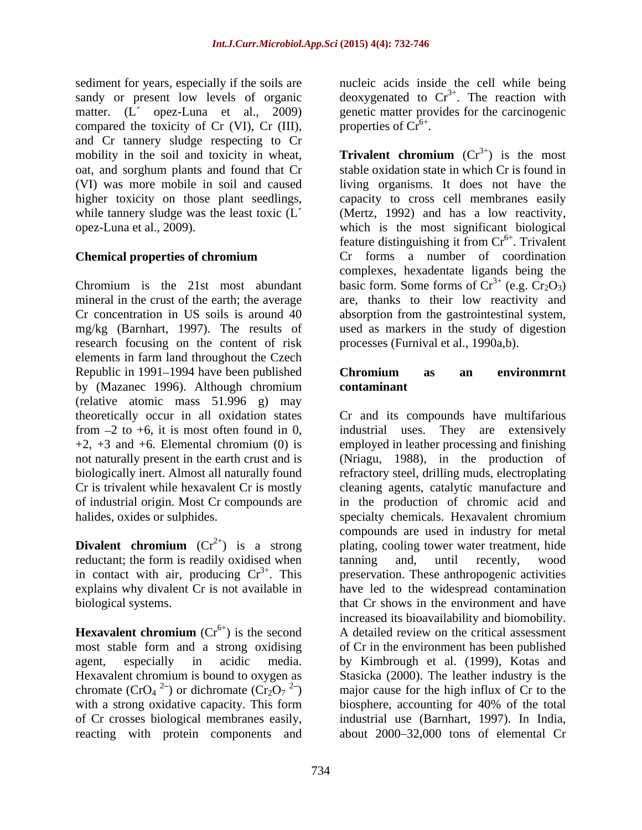compared the toxicity of Cr (VI), Cr (III), properties of  $Cr^{6+}$ . and Cr tannery sludge respecting to Cr oat, and sorghum plants and found that Cr

research focusing on the content of risk elements in farm land throughout the Czech Republic in 1991–1994 have been published **Chromium as an environment** by (Mazanec 1996). Although chromium (relative atomic mass 51.996 g) may

**Divalent chromium**  $(Cr^{2+})$  is a strong reductant; the form is readily oxidised when tanning and, until recently, wood explains why divalent Cr is not available in

**Hexavalent chromium**  $(Cr^{6+})$  is the second chromate  $(CrO_4^2)$  or dichromate  $(Cr_2O_7^2)$ <br>with a strong oxidative capacity. This form reacting with protein components and

sediment for years, especially if the soils are nucleic acids inside the cell while being sandy or present low levels of organic deoxygenated to  $Cr^{3+}$ . The reaction with matter. (L´ opez-Luna et al., 2009) genetic matter provides for the carcinogenic . The reaction with properties of  $\widehat{Cr}^{6+}$ . .

mobility in the soil and toxicity in wheat, **Trivalent chromium**  $(Cr^{3+})$  is the most (VI) was more mobile in soil and caused living organisms. It does not have the higher toxicity on those plant seedlings, capacity to cross cell membranes easily while tannery sludge was the least toxic (L<sup>'</sup> (Mertz, 1992) and has a low reactivity, opez-Luna et al., 2009). which is the most significant biological **Chemical properties of chromium** Cr forms a number of coordination Chromium is the 21st most abundant basic form. Some forms of  $Cr^{3+}$  (e.g.  $Cr_2O_3$ ) mineral in the crust of the earth; the average are, thanks to their low reactivity and Cr concentration in US soils is around 40 absorption from the gastrointestinal system, mg/kg (Barnhart, 1997). The results of used as markers in the study of digestion stable oxidation state in which Cr is found in feature distinguishing it from  $Cr^{6+}$ . Trivalent . Trivalent Cr forms a number of coordination complexes, hexadentate ligands being the processes (Furnival et al., 1990a,b).

## **Chromium as an environmrnt contaminant**

theoretically occur in all oxidation states Cr and its compounds have multifarious from 2 to +6, it is most often found in 0, industrial uses. They are extensively +2, +3 and +6. Elemental chromium (0) is employed in leather processing and finishing not naturally present in the earth crust and is (Nriagu, 1988), in the production of biologically inert. Almost all naturally found refractory steel, drilling muds, electroplating Cr is trivalent while hexavalent Cr is mostly cleaning agents, catalytic manufacture and of industrial origin. Most Cr compounds are in the production of chromic acid and halides, oxides or sulphides. specialty chemicals. Hexavalent chromium in contact with air, producing  $Cr^{3+}$ . This preservation. These anthropogenic activities biological systems. that Cr shows in the environment and have most stable form and a strong oxidising of Cr in the environment has been published agent, especially in acidic media. by Kimbrough et al. (1999), Kotas and Hexavalent chromium is bound to oxygen as Stasicka (2000). The leather industry is the <sup>2</sup>) or dichromate  $(\text{Cr}_2\text{O}_7{}^2)$  major cause for the high influx of Cr to the with a strong oxidative capacity. This form biosphere, accounting for 40% of the total of Cr crosses biological membranes easily, industrial use (Barnhart, 1997). In India, compounds are used in industry for metal plating, cooling tower water treatment, hide tanning and, until recently, wood have led to the widespread contamination increased its bioavailability and biomobility. A detailed review on the critical assessment biosphere, accounting for 40% of the total about 2000–32,000 tons of elemental Cr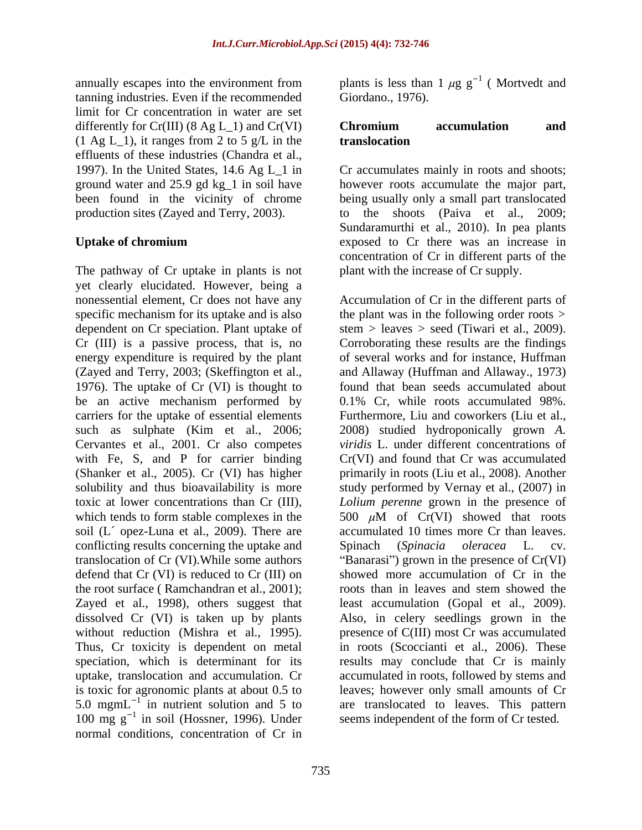tanning industries. Even if the recommended limit for Cr concentration in water are set differently for Cr(III) (8 Ag L 1) and Cr(VI) **Chromium accumulation and**  $(1 \text{ Ag } L_1)$ , it ranges from 2 to 5 g/L in the **translocation** effluents of these industries (Chandra et al., been found in the vicinity of chrome

The pathway of Cr uptake in plants is not yet clearly elucidated. However, being a dependent on Cr speciation. Plant uptake of Cr (III) is a passive process, that is, no energy expenditure is required by the plant be an active mechanism performed by 0.1% Cr, while roots accumulated 98%. carriers for the uptake of essential elements Furthermore, Liu and coworkers (Liu et al., such as sulphate (Kim et al., 2006; 2008) studied hydroponically grown A. with Fe, S, and P for carrier binding which tends to form stable complexes in the  $500 \mu M$  of Cr(VI) showed that roots soil (L´ opez-Luna et al., 2009). There are conflicting results concerning the uptake and Spinach (Spinacia oleracea L. cv. defend that Cr (VI) is reduced to Cr (III) on 5.0 mgmL $^{-1}$  in nutrient solution and 5 to normal conditions, concentration of Cr in

annually escapes into the environment from  $\Box$  plants is less than 1  $\mu$ g g<sup>-1</sup> (Mortvedt and  $^1$  (Mortyodt and ( Mortvedt and Giordano., 1976).

### **Chromium accumulation and translocation**

1997). In the United States, 14.6 Ag L\_1 in Cr accumulates mainly in roots and shoots; ground water and 25.9 gd kg\_1 in soil have however roots accumulate the major part, production sites (Zayed and Terry, 2003). to the shoots (Paiva et al., 2009; **Uptake of chromium**  exposed to Cr there was an increase in being usually only a small part translocated Sundaramurthi et al., 2010). In pea plants concentration of Cr in different parts of the plant with the increase of Cr supply.

nonessential element, Cr does not have any Accumulation of Cr in the different parts of specific mechanism for its uptake and is also the plant was in the following order roots > (Zayed and Terry, 2003; (Skeffington et al., and Allaway (Huffman and Allaway., 1973) 1976). The uptake of Cr (VI) is thought to found that bean seeds accumulated about Cervantes et al., 2001. Cr also competes *viridis* L. under different concentrations of (Shanker et al., 2005). Cr (VI) has higher primarily in roots (Liu et al., 2008). Another solubility and thus bioavailability is more study performed by Vernay et al., (2007) in toxic at lower concentrations than Cr (III), *Lolium perenne* grown in the presence of translocation of Cr (VI). While some authors "Banarasi") grown in the presence of Cr(VI) the root surface ( Ramchandran et al., 2001); roots than in leaves and stem showed the Zayed et al., 1998), others suggest that least accumulation (Gopal et al.,2009). dissolved Cr (VI) is taken up by plants Also, in celery seedlings grown in the without reduction (Mishra et al., 1995). presence of C(III) most Cr was accumulated Thus, Cr toxicity is dependent on metal in roots (Scoccianti et al., 2006). These speciation, which is determinant for its results may conclude that Cr is mainly uptake, translocation and accumulation. Cr accumulated in roots, followed by stems and is toxic for agronomic plants at about 0.5 to leaves; however only small amounts of Cr <sup>1</sup> in nutrient solution and 5 to are translocated to leaves. This pattern 100 mg  $g^{-1}$  in soil (Hossner, 1996). Under seems independent of the form of Cr tested. in soil (Hossner, 1996). Under seems independent of the form of Cr tested.stem  $>$  leaves  $>$  seed (Tiwari et al., 2009). Corroborating these results are the findings of several works and for instance, Huffman 0.1% Cr, while roots accumulated 98%. Furthermore, Liu and coworkers (Liu et al.,2008) studied hydroponically grown *A.*  Cr(VI) and found that Cr was accumulated 500  $\mu$ M of Cr(VI) showed that roots accumulated 10 times more Cr than leaves. Spinach (*Spinacia oleracea* L. cv. showed more accumulation of Cr in the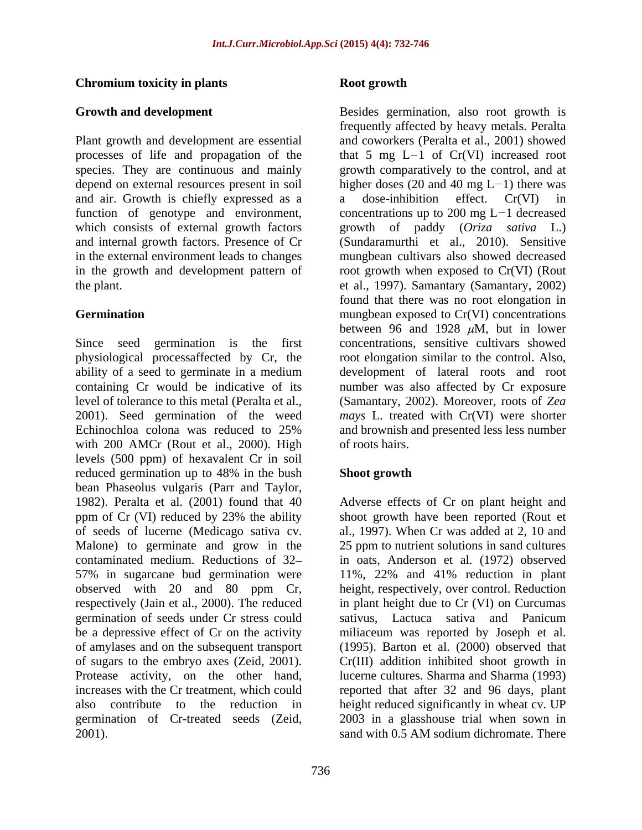### **Chromium toxicity in plants**

and air. Growth is chiefly expressed as a a dose-inhibition effect. Cr(VI) in

Echinochloa colona was reduced to 25% with 200 AMCr (Rout et al., 2000). High of roots hairs. levels (500 ppm) of hexavalent Cr in soil reduced germination up to 48% in the bush **Shoot growth** bean Phaseolus vulgaris (Parr and Taylor, 1982). Peralta et al. (2001) found that 40 Adverse effects of Cr on plant height and ppm of Cr (VI) reduced by 23% the ability shoot growth have been reported (Rout et of seeds of lucerne (Medicago sativa cv. al., 1997). When Cr was added at 2, 10 and Malone) to germinate and grow in the contaminated medium. Reductions of 32 in oats, Anderson et al. (1972) observed 57% in sugarcane bud germination were 11%, 22% and 41% reduction in plant observed with 20 and 80 ppm Cr, height, respectively, over control. Reduction respectively (Jain et al., 2000). The reduced in plant height due to Cr (VI) on Curcumas germination of seeds under Cr stress could sativus. Lactuca sativa and Panicum be a depressive effect of Cr on the activity miliaceum was reported by Joseph et al. of amylases and on the subsequent transport (1995). Barton et al. (2000) observed that of sugars to the embryo axes (Zeid, 2001). Protease activity, on the other hand, lucerne cultures. Sharma and Sharma (1993) increases with the Cr treatment, which could reported that after 32 and 96 days, plant also contribute to the reduction in height reduced significantly in wheat cv. UP germination of Cr-treated seeds (Zeid, 2001). sand with 0.5 AM sodium dichromate. There

### **Root growth**

**Growth and development** Besides germination, also root growth is Plant growth and development are essential and coworkers (Peralta et al., 2001) showed processes of life and propagation of the  $\qquad$  that 5 mg L-1 of Cr(VI) increased root species. They are continuous and mainly growth comparatively to the control, and at depend on external resources present in soil  $\qquad$  higher doses (20 and 40 mg L-1) there was function of genotype and environment, concentrations up to 200 mg  $L-1$  decreased which consists of external growth factors growth of paddy (*Oriza sativa* L.) and internal growth factors. Presence of Cr (Sundaramurthi et al., 2010). Sensitive in the external environment leads to changes mungbean cultivars also showed decreased in the growth and development pattern of root growth when exposed to Cr(VI) (Rout the plant. et al., 1997). Samantary (Samantary, 2002) Germination **Germination Exercise EXECU** mungbean exposed to Cr(VI) concentrations Since seed germination is the first concentrations, sensitive cultivars showed physiological processaffected by Cr, the root elongation similar to the control. Also, ability of a seed to germinate in a medium development of lateral roots and root containing Cr would be indicative of its number was also affected by Cr exposure level of tolerance to this metal (Peralta et al., (Samantary, 2002). Moreover, roots of *Zea*  2001). Seed germination of the weed *mays* L. treated with Cr(VI) were shorter frequently affected by heavy metals. Peralta a dose-inhibition effect. Cr(VI) in found that there was no root elongation in between 96 and 1928  $\mu$ M, but in lower and brownish and presented less less number of roots hairs.

# **Shoot growth**

25 ppm to nutrient solutions in sand cultures sativus, Lactuca sativa and Panicum Cr(III) addition inhibited shoot growth in 2003 in a glasshouse trial when sown in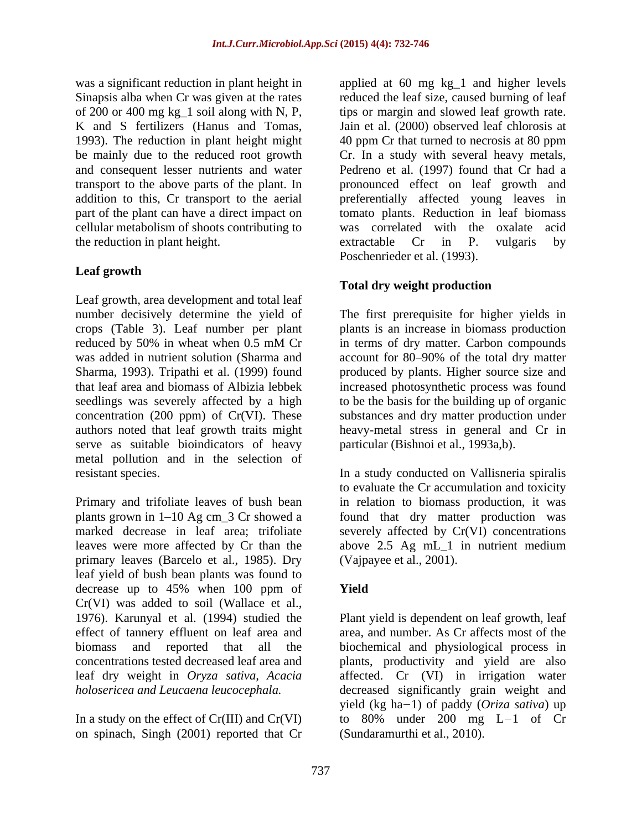was a significant reduction in plant height in Sinapsis alba when Cr was given at the rates 1993). The reduction in plant height might 40 ppm Cr that turned to necrosis at 80 ppm be mainly due to the reduced root growth Cr. In a study with several heavy metals, and consequent lesser nutrients and water Pedreno et al. (1997) found that Cr had a part of the plant can have a direct impact on cellular metabolism of shoots contributing to the reduction in plant height. extractable Cr in P. vulgaris by

# **Leaf growth**

Leaf growth, area development and total leaf seedlings was severely affected by a high authors noted that leaf growth traits might serve as suitable bioindicators of heavy metal pollution and in the selection of

Primary and trifoliate leaves of bush bean in relation to biomass production, it was plants grown in 1–10 Ag cm\_3 Cr showed a found that dry matter production was marked decrease in leaf area; trifoliate severely affected by Cr(VI) concentrations leaves were more affected by Cr than the above 2.5 Ag mL\_1 in nutrient medium primary leaves (Barcelo et al., 1985). Dry leaf yield of bush bean plants was found to decrease up to 45% when 100 ppm of **Yield** Cr(VI) was added to soil (Wallace et al.,

on spinach, Singh (2001) reported that Cr

of 200 or 400 mg kg\_1 soil along with N, P, tips or margin and slowed leaf growth rate. K and S fertilizers (Hanus and Tomas, Jain et al. (2000) observed leaf chlorosis at transport to the above parts of the plant. In the pronounced effect on leaf growth and addition to this, Cr transport to the aerial preferentially affected young leaves in applied at 60 mg kg\_1 and higher levels reduced the leaf size, caused burning of leaf 40 ppm Cr that turned to necrosis at 80 ppm Cr. In <sup>a</sup> study with several heavy metals,Pedreno et al. (1997) found that Cr had <sup>a</sup> tomato plants. Reduction in leaf biomass was correlated with the oxalate acid extractable Cr in P. vulgaris by Poschenrieder et al. (1993).

# **Total dry weight production**

number decisively determine the yield of The first prerequisite for higher yields in crops (Table 3). Leaf number per plant plants is an increase in biomass production reduced by 50% in wheat when 0.5 mM Cr in terms of dry matter. Carbon compounds was added in nutrient solution (Sharma and account for 80–90% of the total dry matter Sharma, 1993). Tripathi et al. (1999) found produced by plants. Higher source size and that leaf area and biomass of Albizia lebbek increased photosynthetic process was found concentration (200 ppm) of Cr(VI). These substances and dry matter production under in terms of dry matter. Carbon compounds to be the basis for the building up of organic heavy-metal stress in general and Cr in particular (Bishnoi et al., 1993a,b).

resistant species. In a study conducted on Vallisneria spiralis to evaluate the Cr accumulation and toxicity (Vajpayee et al., 2001).

# **Yield**

1976). Karunyal et al. (1994) studied the Plant yield is dependent on leaf growth, leaf effect of tannery effluent on leaf area and area, and number. As Cr affects most of the biomass and reported that all the biochemical and physiological process in concentrations tested decreased leaf area and plants, productivity and yield are also leaf dry weight in *Oryza sativa, Acacia* affected. Cr (VI) in irrigation water *holosericea and Leucaena leucocephala.* decreased significantly grain weight and In a study on the effect of Cr(III) and Cr(VI) to  $80\%$  under  $200$  mg L-1 of Cr yield (kg ha-1) of paddy (*Oriza sativa*) up (Sundaramurthi et al., 2010).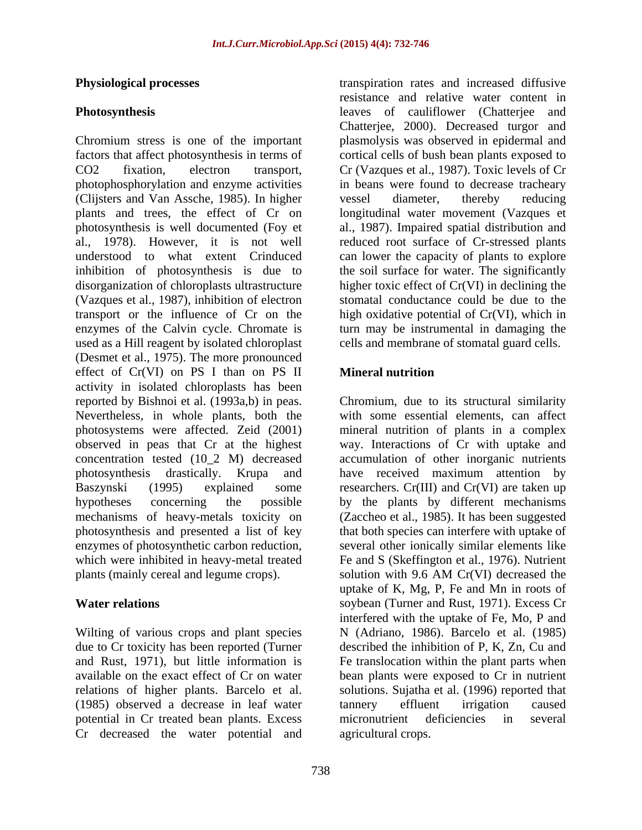Chromium stress is one of the important plasmolysis was observed in epidermal and factors that affect photosynthesis in terms of CO2 fixation, electron transport, Cr (Vazques et al., 1987). Toxic levels of Cr photophosphorylation and enzyme activities in beans were found to decrease tracheary (Clijsters and Van Assche, 1985). In higher plants and trees, the effect of Cr on longitudinal water movement (Vazques et photosynthesis is well documented (Foy et al., 1987). Impaired spatial distribution and al., 1978). However, it is not well reduced root surface of Cr-stressed plants understood to what extent Crinduced can lower the capacity of plants to explore inhibition of photosynthesis is due to disorganization of chloroplasts ultrastructure (Vazques et al., 1987), inhibition of electron stomatal conductance could be due to the transport or the influence of Cr on the high oxidative potential of Cr(VI), which in enzymes of the Calvin cycle. Chromate is turn may be instrumental in damaging the used as a Hill reagent by isolated chloroplast (Desmet et al., 1975). The more pronounced effect of Cr(VI) on PS I than on PS II **Mineral nutrition** activity in isolated chloroplasts has been reported by Bishnoi et al. (1993a,b) in peas. Chromium, due to its structural similarity Nevertheless, in whole plants, both the with some essential elements, can affect photosystems were affected. Zeid (2001) mineral nutrition of plants in a complex observed in peas that Cr at the highest way. Interactions of Cr with uptake and concentration tested (10\_2 M) decreased photosynthesis drastically. Krupa and have received maximum attention by Baszynski (1995) explained some researchers. Cr(III) and Cr(VI) are taken up hypotheses concerning the possible by the plants by different mechanisms mechanisms of heavy-metals toxicity on (Zaccheo et al., 1985). It has been suggested photosynthesis and presented a list of key that both species can interfere with uptake of enzymes of photosynthetic carbon reduction, several other ionically similar elements like which were inhibited in heavy-metal treated Fe and S (Skeffington et al., 1976). Nutrient plants (mainly cereal and legume crops). solution with 9.6 AM Cr(VI) decreased the

Wilting of various crops and plant species due to Cr toxicity has been reported (Turner (1985) observed a decrease in leaf water potential in Cr treated bean plants. Excess micronutrient deficiencies in several Cr decreased the water potential and

**Physiological processes**  transpiration rates and increased diffusive **Photosynthesis** leaves of cauliflower (Chatterjee and resistance and relative water content in Chatterjee, 2000). Decreased turgor and cortical cells of bush bean plants exposed to vessel diameter, thereby reducing the soil surface for water. The significantly higher toxic effect of Cr(VI) in declining the cells and membrane of stomatal guard cells.

# **Mineral nutrition**

Water relations soybean (Turner and Rust, 1971). Excess Cr and Rust, 1971), but little information is Fe translocation within the plant parts when available on the exact effect of Cr on water bean plants were exposed to Cr in nutrient relations of higher plants. Barcelo et al. solutions. Sujatha et al. (1996) reported that accumulation of other inorganic nutrients solution with 9.6 AM Cr(VI) decreased the uptake of K, Mg, P, Fe and Mn in roots of interfered with the uptake of Fe, Mo, P and N (Adriano, 1986). Barcelo et al. (1985) described the inhibition of P, K, Zn, Cu and tannery effluent irrigation caused micronutrient deficiencies in several agricultural crops.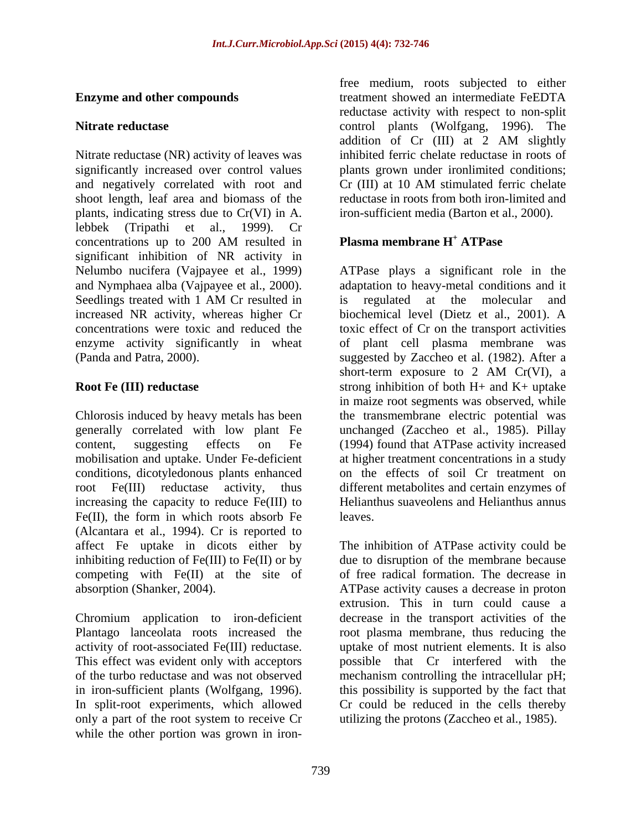Nitrate reductase (NR) activity of leaves was significantly increased over control values and negatively correlated with root and Cr (III) at 10 AM stimulated ferric chelate shoot length, leaf area and biomass of the plants, indicating stress due to Cr(VI) in A. lebbek (Tripathi et al., 1999). Cr concentrations up to 200 AM resulted in **Plasma membrane H<sup>+</sup> ATPase** significant inhibition of NR activity in and Nymphaea alba (Vajpayee et al., 2000). increased NR activity, whereas higher Cr

Chlorosis induced by heavy metals has been the transmembrane electric potential was generally correlated with low plant Fe unchanged (Zaccheo et al., 1985). Pillay content, suggesting effects on Fe (1994) found that ATPase activity increased mobilisation and uptake. Under Fe-deficient conditions, dicotyledonous plants enhanced on the effects of soil Cr treatment on root Fe(III) reductase activity, thus different metabolites and certain enzymes of increasing the capacity to reduce Fe(III) to Fe(II), the form in which roots absorb Fe leaves. (Alcantara et al., 1994). Cr is reported to affect Fe uptake in dicots either by inhibiting reduction of  $Fe(III)$  to  $Fe(II)$  or by competing with Fe(II) at the site of

This effect was evident only with acceptors<br>of the turbo reductase and was not observed only a part of the root system to receive Cr while the other portion was grown in iron-

**Enzyme and other compounds** treatment showed an intermediate FeEDTA **Nitrate reductase**  control plants (Wolfgang, 1996). The free medium, roots subjected to either reductase activity with respect to non-split addition of Cr (III) at 2 AM slightly inhibited ferric chelate reductase in roots of plants grown under ironlimited conditions; reductase in roots from both iron-limited and iron-sufficient media (Barton et al., 2000).

### **Plasma membrane H<sup>+</sup> ATPase**

Nelumbo nucifera (Vajpayee et al., 1999) ATPase plays a significant role in the Seedlings treated with 1 AM Cr resulted in is regulated at the molecular and concentrations were toxic and reduced the toxic effect of Cr on the transport activities enzyme activity significantly in wheat of plant cell plasma membrane was (Panda and Patra, 2000). suggested by Zaccheo et al. (1982). After a **Root Fe (III) reductase** extreme inhibition of both H+ and K+ uptake adaptation to heavy-metal conditions and it is regulated at the molecular and biochemical level (Dietz et al., 2001). A short-term exposure to 2 AM Cr(VI), a in maize root segments was observed, while at higher treatment concentrations in a study Helianthus suaveolens and Helianthus annus leaves.

absorption (Shanker, 2004). ATPase activity causes a decrease in proton Chromium application to iron-deficient decrease in the transport activities of the Plantago lanceolata roots increased the root plasma membrane, thus reducing the activity of root-associated Fe(III) reductase. uptake of most nutrient elements. It is also of the turbo reductase and was not observed mechanism controlling the intracellular pH; in iron-sufficient plants (Wolfgang, 1996). this possibility is supported by the fact that In split-root experiments, which allowed Cr could be reduced in the cells thereby The inhibition of ATPase activity could be due to disruption of the membrane because of free radical formation. The decrease in extrusion. This in turn could cause a possible that Cr interfered with the utilizing the protons (Zaccheo et al., 1985).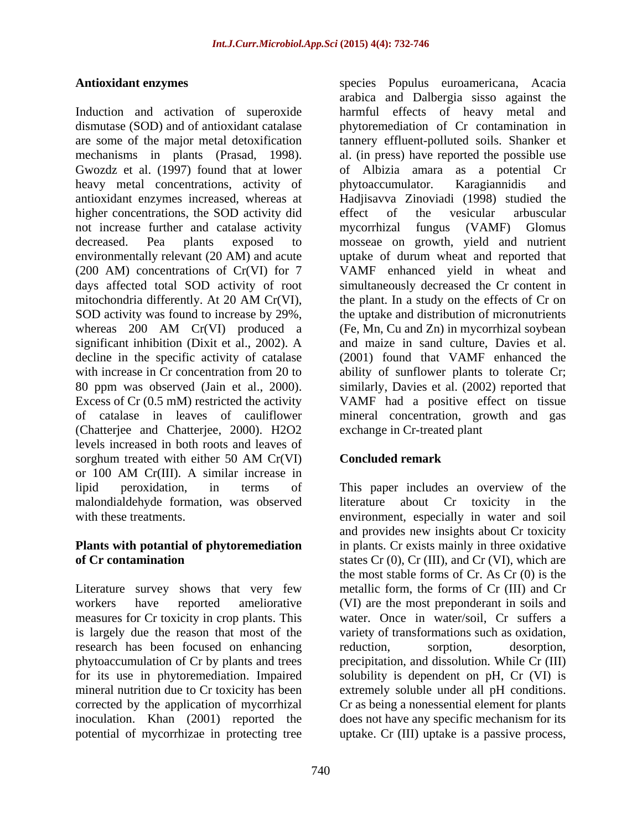Induction and activation of superoxide harmful effects of heavy metal and dismutase (SOD) and of antioxidant catalase phytoremediation of Cr contamination in are some of the major metal detoxification tannery effluent-polluted soils. Shanker et mechanisms in plants (Prasad, 1998). Gwozdz et al. (1997) found that at lower of Albizia amara as a potential Cr heavy metal concentrations, activity of phytoaccumulator. Karagiannidis and antioxidant enzymes increased, whereas at higher concentrations, the SOD activity did effect of the vesicular arbuscular not increase further and catalase activity mycorrhizal fungus (VAMF) Glomus decreased. Pea plants exposed to mosseae on growth, yield and nutrient environmentally relevant (20 AM) and acute uptake of durum wheat and reported that (200 AM) concentrations of Cr(VI) for 7 VAMF enhanced yield in wheat and days affected total SOD activity of root simultaneously decreased the Cr content in mitochondria differently. At 20 AM Cr(VI), the plant. In a study on the effects of Cr on SOD activity was found to increase by 29%, the uptake and distribution of micronutrients whereas 200 AM Cr(VI) produced a (Fe, Mn, Cu and Zn) in mycorrhizal soybean significant inhibition (Dixit et al., 2002). A decline in the specific activity of catalase with increase in Cr concentration from 20 to ability of sunflower plants to tolerate Cr; 80 ppm was observed (Jain et al., 2000). similarly, Davies et al. (2002) reported that Excess of Cr (0.5 mM) restricted the activity of catalase in leaves of cauliflower mineral concentration, growth and gas (Chatterjee and Chatterjee, 2000). H2O2 levels increased in both roots and leaves of sorghum treated with either 50 AM Cr(VI) Concluded remark or 100 AM Cr(III). A similar increase in lipid peroxidation, in terms of This paper includes an overview of the malondialdehyde formation, was observed

Literature survey shows that very few workers have reported ameliorative (VI) are the most preponderant in soils and measures for Cr toxicity in crop plants. This is largely due the reason that most of the variety of transformations such as oxidation, research has been focused on enhancing reduction. sorption, desorption. phytoaccumulation of Cr by plants and trees for its use in phytoremediation. Impaired solubility is dependent on pH, Cr (VI) is mineral nutrition due to Cr toxicity has been extremely soluble under all pH conditions. corrected by the application of mycorrhizal Cr as being a nonessential element for plants inoculation. Khan (2001) reported the does not have any specific mechanism for its potential of mycorrhizae in protecting tree uptake. Cr (III) uptake is a passive process,

**Antioxidant enzymes** species Populus euroamericana, Acacia arabica and Dalbergia sisso against the al. (in press) have reported the possible use phytoaccumulator. Karagiannidis and Hadjisavva Zinoviadi (1998) studied the effect of the vesicular arbuscular mycorrhizal fungus (VAMF) Glomus the plant. In a study on the effects of Cr on and maize in sand culture, Davies et al. (2001) found that VAMF enhanced the VAMF had a positive effect on tissue exchange in Cr-treated plant

# **Concluded remark**

with these treatments. The environment, especially in water and soil **Plants with potantial of phytoremediation** in plants. Cr exists mainly in three oxidative **of Cr contamination** states Cr (0), Cr (III), and Cr (VI), which are literature about Cr toxicity in and provides new insights about Cr toxicity the most stable forms of Cr. As Cr (0) is the metallic form, the forms of Cr (III) and Cr water. Once in water/soil. Cr suffers a variety of transformations such as oxidation,<br>reduction, sorption, desorption, precipitation, and dissolution. While Cr (III)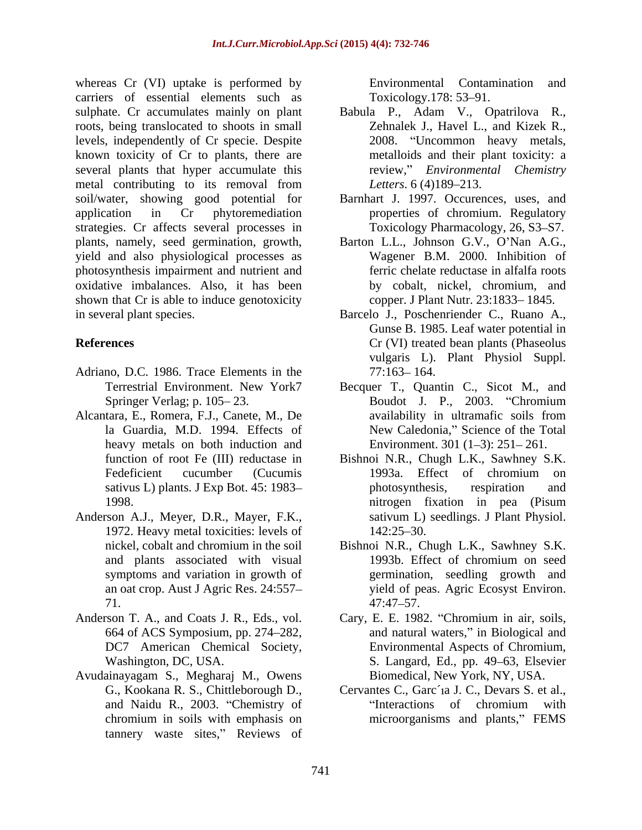whereas Cr (VI) uptake is performed by Environmental Contamination and carriers of essential elements such as Toxicology. 178: 53–91. roots, being translocated to shoots in small levels, independently of Cr specie. Despite known toxicity of Cr to plants, there are several plants that hyper accumulate this metal contributing to its removal from *Letters*. 6(4)189–213. soil/water, showing good potential for Barnhart J. 1997. Occurences, uses, and application in Cr phytoremediation properties of chromium. Regulatory strategies. Cr affects several processes in plants, namely, seed germination, growth, Barton L.L., Johnson G.V., O'Nan A.G., yield and also physiological processes as photosynthesis impairment and nutrient and oxidative imbalances. Also, it has been by cobalt, nickel, chromium, and shown that Cr is able to induce genotoxicity in several plant species. Barcelo J., Poschenriender C., Ruano A.,

- Adriano, D.C. 1986. Trace Elements in the
- Alcantara, E., Romera, F.J., Canete, M., De heavy metals on both induction and
- Anderson A.J., Meyer, D.R., Mayer, F.K., 1972. Heavy metal toxicities: levels of 142:25–30.
- 
- Avudainayagam S., Megharaj M., Owens tannery waste sites," Reviews of

Environmental Contamination Toxicology.178: 53–91.

- sulphate. Cr accumulates mainly on plant Babula P., Adam V., Opatrilova R., Zehnalek J., Havel L., and Kizek R., 2008. Uncommon heavy metals, metalloids and their plant toxicity: a review, *Environmental Chemistry Letters*. 6 (4)189–213.
	- Toxicology Pharmacology, 26, S3–S7.
	- Wagener B.M. 2000. Inhibition of ferric chelate reductase in alfalfa roots copper. J Plant Nutr. 23:1833–1845.
- **References** Cr (VI) treated bean plants (Phaseolus Gunse B. 1985. Leaf water potential in vulgaris L). Plant Physiol Suppl.  $77:163 - 164.$ 
	- Terrestrial Environment. New York7 Becquer T., Quantin C., Sicot M., and Springer Verlag; p. 105–23. Boudot J. P., 2003. "Chromium" la Guardia, M.D. 1994. Effects of New Caledonia," Science of the Total Boudot J. P., 2003. "Chromium availability in ultramafic soils from Environment.  $301$   $(1-3)$ :  $251-261$ .
	- function of root Fe (III) reductase in Bishnoi N.R., Chugh L.K., Sawhney S.K. Fedeficient cucumber (Cucumis 1993a. Effect of chromium on sativus L) plants. J Exp Bot. 45: 1983-<br>
	photosynthesis, respiration and 1998. nitrogen fixation in pea (Pisum 1993a. Effect of chromium on photosynthesis, respiration and sativum L) seedlings. J Plant Physiol. 142:25–30.
	- nickel, cobalt and chromium in the soil Bishnoi N.R., Chugh L.K., Sawhney S.K. and plants associated with visual symptoms and variation in growth of germination, seedling growth and an oat crop. Aust J Agric Res. 24:557 yield of peas. Agric Ecosyst Environ. 71. 1993b. Effect of chromium on seed 47:47 57.
- Anderson T. A., and Coats J. R., Eds., vol. Cary, E. E. 1982. "Chromium in air, soils, 664 of ACS Symposium, pp. 274 282, and natural waters, in Biological and DC7 American Chemical Society, Environmental Aspects of Chromium, Washington, DC, USA. S. Langard, Ed., pp. 49–63, Elsevier Biomedical, New York, NY, USA.
	- G., Kookana R. S., Chittleborough D., Cervantes C., Garc´ a J. C., Devars S. et al., and Naidu R., 2003. "Chemistry of "Interactions of chromium with chromium in soils with emphasis on microorganisms and plants," FEMS Interactions of chromium with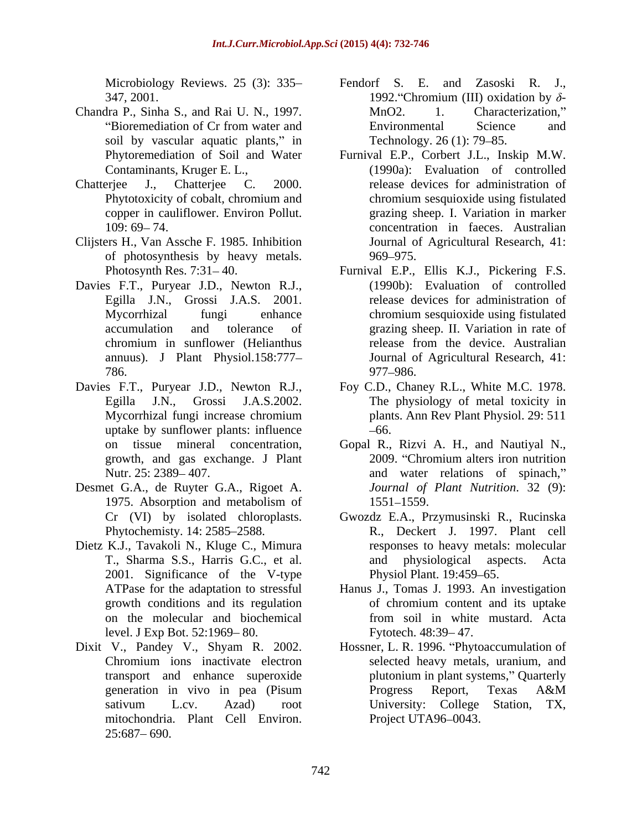- Chandra P., Sinha S., and Rai U. N., 1997. soil by vascular aquatic plants," in
- 
- Clijsters H., Van Assche F. 1985. Inhibition of photosynthesis by heavy metals.
- Davies F.T., Puryear J.D., Newton R.J.,
- uptake by sunflower plants: influence
- Desmet G.A., de Ruyter G.A., Rigoet A.
- Dietz K.J., Tavakoli N., Kluge C., Mimura 2001. Significance of the V-type Physiol Plant. 19:459–65. level. J Exp Bot. 52:1969–80.
- Dixit V., Pandey V., Shyam R. 2002. mitochondria. Plant Cell Environ. 25:687 690.
- Microbiology Reviews. 25 (3): 335 Fendorf S. E. and Zasoski R. J., 347, 2001. **1992.** Chromium (III) oxidation by  $\delta$ -Bioremediation of Cr from water and Environmental Science and MnO2. 1. Characterization," Environmental Science and Technology. 26 (1): 79–85.
- Phytoremediation of Soil and Water Furnival E.P., Corbert J.L., Inskip M.W. Contaminants, Kruger E. L., (1990a): Evaluation of controlled Chatterjee J., Chatterjee C. 2000. release devices for administration of Phytotoxicity of cobalt, chromium and entromium sesquioxide using fistulated copper in cauliflower. Environ Pollut. grazing sheep. I. Variation in marker 109: 69 74. concentration in faeces. Australian chromium sesquioxide using fistulated Journal of Agricultural Research, 41: 969 975.
	- Photosynth Res. 7:31–40. Furnival E.P., Ellis K.J., Pickering F.S. Egilla J.N., Grossi J.A.S. 2001. release devices for administration of Mycorrhizal fungi enhance chromium sesquioxide using fistulated accumulation and tolerance of grazing sheep. II. Variation in rate of chromium in sunflower (Helianthus annuus). J Plant Physiol.158:777 Journal of Agricultural Research, 41: 786. (1990b): Evaluation of controlled chromium sesquioxide using fistulated release from the device. Australian 977 986.
- Davies F.T., Puryear J.D., Newton R.J., Foy C.D., Chaney R.L., White M.C. 1978. Egilla J.N., Grossi J.A.S.2002. The physiology of metal toxicity in Mycorrhizal fungi increase chromium plants. Ann Rev Plant Physiol. 29: 511 66.
	- on tissue mineral concentration, Gopal R., Rizvi A. H., and Nautiyal N., growth, and gas exchange. J Plant 2009. "Chromium alters iron nutrition<br>Nutr. 25: 2389–407. <br>and water relations of spinach," Nutr. 25: 2389–407. https://water.org/water/relations of spinach," 1975. Absorption and metabolism of 2009. "Chromium alters iron nutrition *Journal of Plant Nutrition*. 32 (9): 1551 1559.
	- Cr (VI) by isolated chloroplasts. Gwozdz E.A., Przymusinski R., Rucinska Phytochemisty. 14: 2585 2588. R., Deckert J. 1997. Plant cell T., Sharma S.S., Harris G.C., et al. responses to heavy metals: molecular and physiological aspects. Acta Physiol Plant. 19:459–65.
	- ATPase for the adaptation to stressful Hanus J., Tomas J. 1993. An investigation growth conditions and its regulation of chromium content and its uptake on the molecular and biochemical of chromium content and its uptake from soil in white mustard. Acta Fytotech. 48:39 - 47.
	- Chromium ions inactivate electron selected heavy metals, uranium, and transport and enhance superoxide generation in vivo in pea (Pisum sativum L.cv. Azad) root University: College Station, TX, Hossner, L. R. 1996. "Phytoaccumulation of plutonium in plant systems," Quarterly Progress Report, Texas A&M Project UTA96–0043.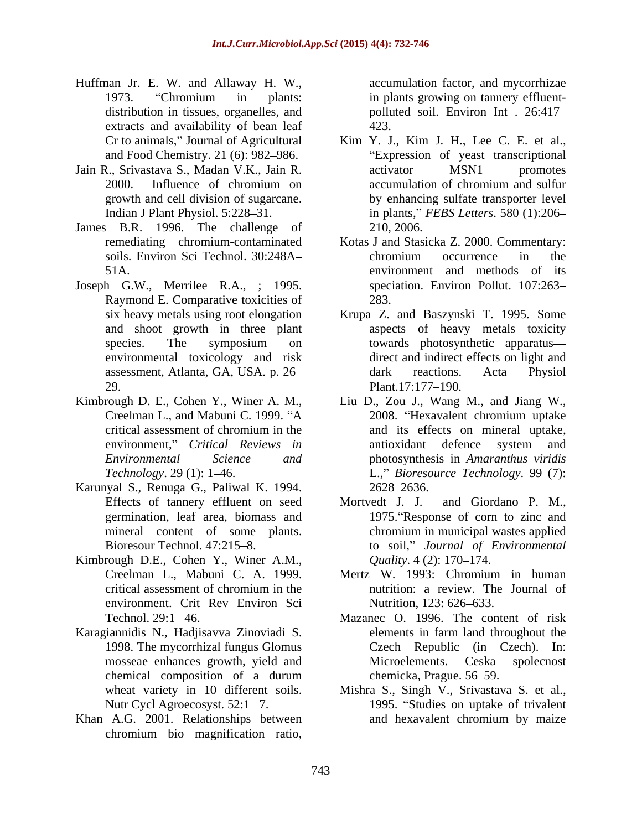- Huffman Jr. E. W. and Allaway H. W., 1973. "Chromium in plants: in plants growing on tannery effluentdistribution in tissues, organelles, and  $\qquad \qquad$  polluted soil. Environ Int . 26:417– extracts and availability of bean leaf 423.
- 
- James B.R. 1996. The challenge of
- Joseph G.W., Merrilee R.A., ; 1995. Raymond E. Comparative toxicities of 283. 29. Plant. 17:177–190.
- 
- Karunyal S., Renuga G., Paliwal K. 1994.
- Kimbrough D.E., Cohen Y., Winer A.M.,  $\qquad \qquad \qquad$  Quality. 4 (2): 170–174. environment. Crit Rev Environ Sci Nutrition 123: 626–633.
- Karagiannidis N., Hadjisavva Zinoviadi S.
- Khan A.G. 2001. Relationships between and hexavalent chromium by maize chromium bio magnification ratio. chromium bio magnification ratio,

accumulation factor, and mycorrhizae in plants growing on tannery effluent- 423.

- Cr to animals," Journal of Agricultural Kim Y. J., Kim J. H., Lee C. E. et al., and Food Chemistry. 21 (6): 982–986. "Expression of yeast transcriptional Jain R., Srivastava S., Madan V.K., Jain R. 2000. Influence of chromium on growth and cell division of sugarcane. by enhancing sulfate transporter level Indian J Plant Physiol. 5:228 31. in plants, *FEBS Letters*. 580 (1):206 activator MSN1 promotes accumulation of chromium and sulfur 210, 2006.
	- remediating chromium-contaminated Kotas J and Stasicka Z. 2000. Commentary: soils. Environ Sci Technol. 30:248A- chromium occurrence in the 51A. environment and methods of its chromium occurrence in the speciation. Environ Pollut. 107:263-283.
	- six heavy metals using root elongation Krupa Z. and Baszynski T. 1995. Some and shoot growth in three plant aspects of heavy metals toxicity species. The symposium on towards photosynthetic apparatus environmental toxicology and risk direct and indirect effects on light and assessment, Atlanta, GA, USA. p. 26 towards photosynthetic apparatus dark reactions. Acta Physiol Plant.17:177–190.
- Kimbrough D. E., Cohen Y., Winer A. M., Liu D., Zou J., Wang M., and Jiang W., Creelman L., and Mabuni C. 1999. "A 2008. "Hexavalent chromium uptake critical assessment of chromium in the environment," *Critical Reviews in* antioxidant defence system and *Environmental Science and*  photosynthesis in *Amaranthus viridis Technology.* 29 (1): 1–46. L.," *Bioresource Technology.* 99 (7): 2008. Hexavalent chromium uptake and its effects on mineral uptake, antioxidant defence system and 2628 2636.
	- Effects of tannery effluent on seed Mortvedt J. J. and Giordano P. M., germination, leaf area, biomass and 1975. Response of corn to zinc and mineral content of some plants. chromium in municipal wastes applied Bioresour Technol. 47:215–8. to soil," *Journal of Environmental* Mortvedt J. J. and Giordano P. M., chromium in municipal wastes applied *Quality*. 4 (2): 170–174.
	- Creelman L., Mabuni C. A. 1999. critical assessment of chromium in the Mertz W. 1993: Chromium in human nutrition: a review. The Journal of Nutrition, 123: 626–633.
	- Technol. 29:1–46. Mazanec O. 1996. The content of risk 1998. The mycorrhizal fungus Glomus Czech Republic (in Czech). In: mosseae enhances growth, yield and<br>chemical composition of a durum<br>chemicka, Prague 56–59. chemical composition of a durum elements in farm land throughout the Microelements. Ceska spolecnost chemicka, Prague. 56–59.
	- wheat variety in 10 different soils. Mishra S., Singh V., Srivastava S. et al., Nutr Cycl Agroecosyst. 52:1–7. 1995. "Studies on uptake of trivalent and hexavalent chromium by maize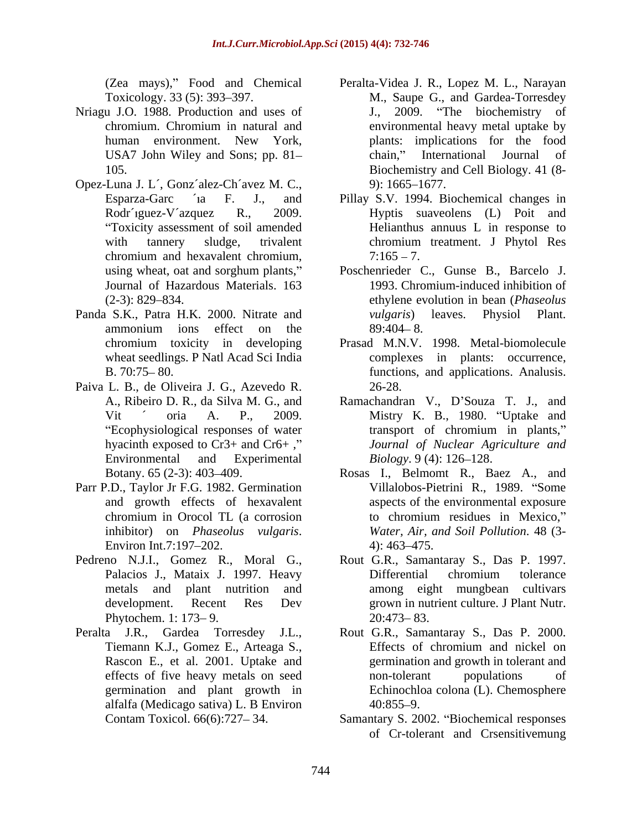- Nriagu J.O. 1988. Production and uses of
- Opez-Luna J. L', Gonz'alez-Ch'avez M. C., 9): 1665–1677.
- Panda S.K., Patra H.K. 2000. Nitrate and *vulgaris*) leaves.
- Paiva L. B., de Oliveira J. G., Azevedo R.
- Parr P.D., Taylor Jr F.G. 1982. Germination and growth effects of hexavalent
- Phytochem. 1: 173–9. 20:473–83.
- Rascon E., et al. 2001. Uptake and alfalfa (Medicago sativa) L. B Environ
- (Zea mays)," Food and Chemical Peralta-Videa J. R., Lopez M. L., Narayan Toxicology. 33 (5): 393–397. M., Saupe G., and Gardea-Torresdey chromium. Chromium in natural and human environment. New York, plants: implications for the food USA7 John Wiley and Sons; pp. 81- chain," International Journal of 105. Biochemistry and Cell Biology. 41 (8- J., 2009. "The biochemistry of environmental heavy metal uptake by plants: implications for the food chain," International Journal of  $9: 1665 - 1677.$
- Esparza-Garc ´ia F. J., and Pillay S.V. 1994. Biochemical changes in Rodr´ iguez-V´ azquez R., 2009. Hyptis suaveolens (L) Poit and Toxicity assessment of soil amended Helianthus annuus L in response to with tannery sludge, trivalent chromium treatment. J Phytol Res chromium and hexavalent chromium,  $7:165 - 7$ .  $7:165 - 7.$
- using wheat, oat and sorghum plants," Poschenrieder C., Gunse B., Barcelo J. Journal of Hazardous Materials. 163 1993. Chromium-induced inhibition of (2-3): 829 834. ethylene evolution in bean (*Phaseolus*  ammonium ions effect on the 89:404–8. Physiol Plant.  $89:404 - 8$ .
- chromium toxicity in developing Prasad M.N.V. 1998. Metal-biomolecule wheat seedlings. P Natl Acad Sci India complexes in plants: occurrence, B. 70:75–80. **Example 31 Secure 20.** 5 functions, and applications. Analusis. 26-28.
- A., Ribeiro D. R., da Silva M. G., and Ramachandran V., D'Souza T. J., and Vit  $\le$  oria A. P., 2009. Mistry K. B., 1980. "Uptake and "Ecophysiological responses of water transport of chromium in plants," hyacinth exposed to Cr3+ and Cr6+ , *Journal of Nuclear Agriculture and*  Environmental and Experimental *Biology*. 9 (4): 126–128. transport of chromium in plants, *Biology*. 9 (4): 126–128.
- Botany. 65 (2-3): 403 409. Rosas I., Belmomt R., Baez A., and chromium in Orocol TL (a corrosion to chromium residues in Mexico," inhibitor) on *Phaseolus vulgaris*. Water, Air, and Soil Pollution. 48 (3-<br>Environ Int.7:197–202. 4): 463–475. Villalobos-Pietrini R., 1989. "Some aspects of the environmental exposure to chromium residues in Mexico, *Water, Air, and Soil Pollution*. 48 (3-  $4)$ : 463–475.
- Pedreno N.J.I., Gomez R., Moral G., Rout G.R., Samantaray S., Das P. 1997. Palacios J., Mataix J. 1997. Heavy Differential chromium tolerance metals and plant nutrition and among eight mungbean cultivars development. Recent Res Dev grown in nutrient culture. J Plant Nutr. Differential chromium tolerance  $20:473 - 83.$
- Peralta J.R., Gardea Torresdey J.L., Rout G.R., Samantaray S., Das P. 2000. Tiemann K.J., Gomez E., Arteaga S., effects of five heavy metals on seed non-tolerant populations of germination and plant growth in Echinochloa colona (L). Chemosphere Effects of chromium and nickel on germination and growth in tolerant and non-tolerant populations of  $40:855 - 9$ .
	- Contam Toxicol. 66(6):727–34. Samantary S. 2002. "Biochemical responses of Cr-tolerant and Crsensitivemung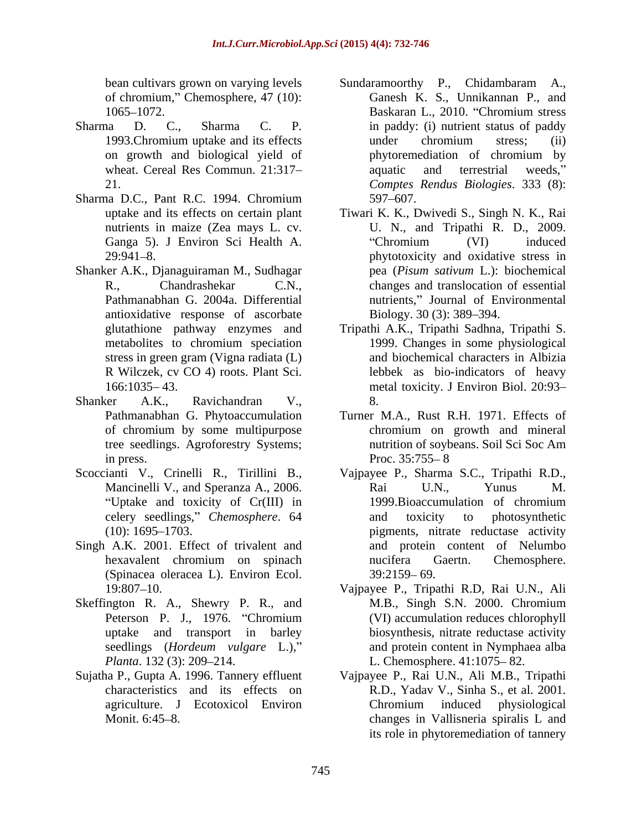of chromium," Chemosphere, 47 (10):

- 
- Sharma D.C., Pant R.C. 1994. Chromium 597-607.
- Shanker A.K., Djanaguiraman M., Sudhagar antioxidative response of ascorbate Biology. 30 (3): 389–394. stress in green gram (Vigna radiata (L)
- Shanker A.K., Ravichandran V., 8. in press. Proc. 35:755–8
- 
- Singh A.K. 2001. Effect of trivalent and (Spinacea oleracea L). Environ Ecol.
- Skeffington R. A., Shewry P. R., and M.B., Singh S.N. 2000. Chromium
- Sujatha P., Gupta A. 1996. Tannery effluent Vajpayee P., Rai U.N., Ali M.B., Tripathi
- bean cultivars grown on varying levels Sundaramoorthy P., Chidambaram A., 1065–1072. Baskaran L., 2010. "Chromium stress Sharma D. C., Sharma C. P. in paddy: (i) nutrient status of paddy 1993.Chromium uptake and its effects on growth and biological yield of phytoremediation of chromium by wheat. Cereal Res Commun. 21:317- aquatic and terrestrial weeds." 21. *Comptes Rendus Biologies*. 333 (8): Ganesh K. S., Unnikannan P., and Baskaran L., 2010. "Chromium stress under chromium stress; (ii) aquatic and terrestrial weeds," 597 607.
	- uptake and its effects on certain plant Tiwari K. K., Dwivedi S.,Singh N. K., Rai nutrients in maize (Zea mays L. cv. U. N., and Tripathi R. D., 2009. Ganga 5). <sup>J</sup> Environ Sci Health A.29:941 8. R., Chandrashekar C.N., changes and translocation of essential Pathmanabhan G. 2004a. Differential hutrients," Journal of Environmental Chromium (VI) induced phytotoxicity and oxidative stress in pea (*Pisum sativum* L.): biochemical Biology. 30 (3): 389–394.
	- glutathione pathway enzymes and Tripathi A.K., Tripathi Sadhna, Tripathi S. metabolites to chromium speciation 1999. Changes in some physiological R Wilczek, cv CO 4) roots. Plant Sci. lebbek as bio-indicators of heavy 166:1035 43. metal toxicity. J Environ Biol. 20:93 1999. Changes in some physiological and biochemical characters in Albizia 8.
	- Pathmanabhan G. Phytoaccumulation Turner M.A., Rust R.H. 1971. Effects of of chromium by some multipurpose tree seedlings. Agroforestry Systems; nutrition of soybeans. Soil Sci Soc Am chromium on growth and mineral Proc.  $35:755 - 8$
- Scoccianti V., Crinelli R., Tirillini B., Vajpayee P., Sharma S.C., Tripathi R.D., Mancinelli V., and Speranza A., 2006. Rai U.N., Yunus M. Uptake and toxicity of Cr(III) in celery seedlings," *Chemosphere*. 64 and toxicity to photosynthetic (10): 1695 1703. pigments, nitrate reductase activity hexavalent chromium on spinach Rai U.N., Yunus M. 1999.Bioaccumulation of chromium and toxicity to photosynthetic and protein content of Nelumbo nucifera Gaertn. Chemosphere.  $39:2159 - 69.$ 
	- 19:807 10. Vajpayee P., Tripathi R.D, Rai U.N., Ali Peterson P. J., 1976. "Chromium (VI) accumulation reduces chlorophyll uptake and transport in barley biosynthesis, nitrate reductase activity seedlings (*Hordeum vulgare* L.)," and protein content in Nymphaea alba *Planta*. 132 (3): 209–214. L. Chemosphere. 41:1075–82. M.B., Singh S.N. 2000. Chromium (VI) accumulation reduces chlorophyll
	- characteristics and its effects on R.D., Yadav V., Sinha S., et al. 2001. agriculture. J Ecotoxicol Environ Monit. 6:45–8. Changes in Vallisneria spiralis L and Chromium induced physiological its role in phytoremediation of tannery